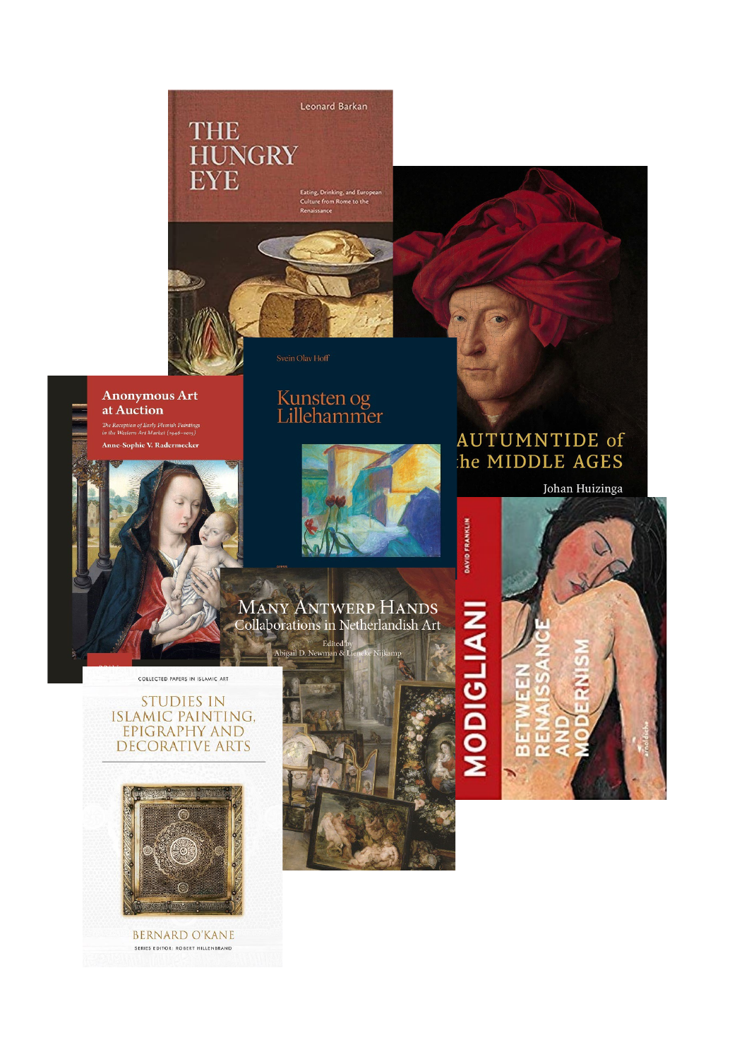



#### **Anonymous Art** at Auction .<br>The Reception of Early Flemish Paintings<br>in the Western Art Market (1946–2015)

Anne-Sophie V. Radermecker

## Kunsten og<br>Lillehammer



# DAVID FRANKLIN

**MANY ANTWERP HANDS** Collaborations in Netherlandish Art

COLLECTED PAPERS IN ISLAMIC ART

#### **STUDIES IN ISLAMIC PAINTING,** EPIGRAPHY AND **DECORATIVE ARTS**



**BERNARD O'KANE** SERIES EDITOR: ROBERT HILLENBRAND







Johan Huizinga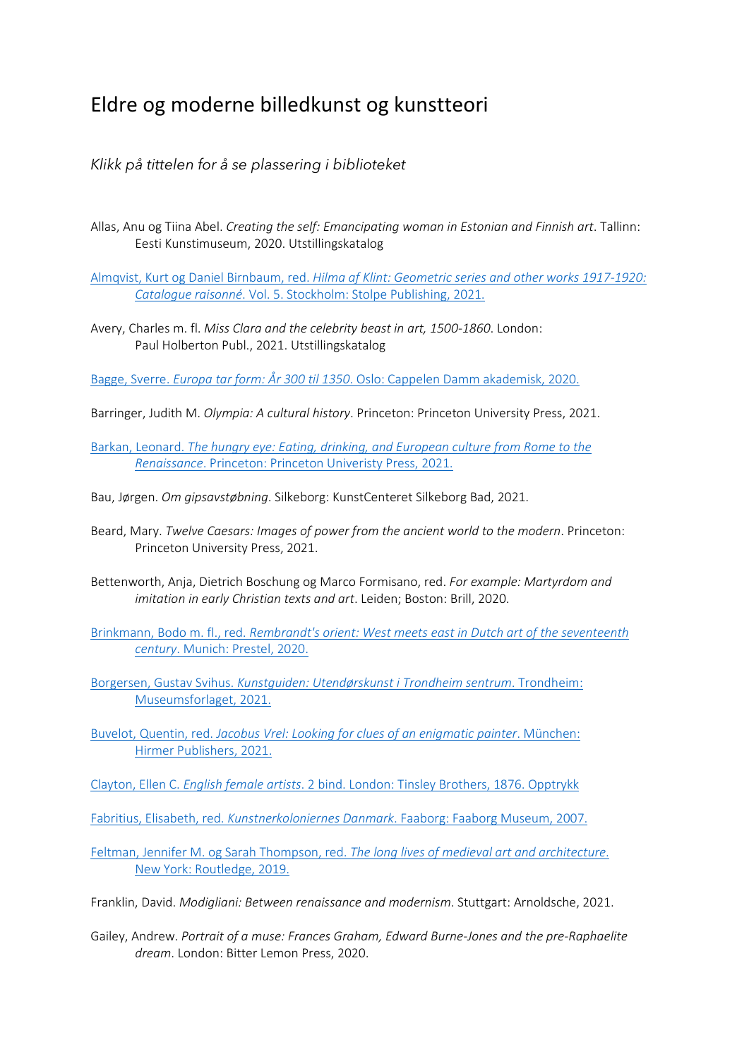### Eldre og moderne billedkunst og kunstteori

#### *Klikk på tittelen for å se plassering i biblioteket*

Allas, Anu og Tiina Abel. *Creating the self: Emancipating woman in Estonian and Finnish art*. Tallinn: Eesti Kunstimuseum, 2020. Utstillingskatalog

Almqvist, Kurt og Daniel Birnbaum, red. *[Hilma af Klint: Geometric series and other works 1917-1920:](https://bibsys-almaprimo.hosted.exlibrisgroup.com/permalink/f/1n8chvd/BIBSYS_ILS71613839890002201)  Catalogue raisonné*. Vol. [5. Stockholm: Stolpe Publishing, 2021.](https://bibsys-almaprimo.hosted.exlibrisgroup.com/permalink/f/1n8chvd/BIBSYS_ILS71613839890002201)

Avery, Charles m. fl. *Miss Clara and the celebrity beast in art, 1500-1860*. London: Paul Holberton Publ., 2021. Utstillingskatalog

Bagge, Sverre. *Europa tar form: År 300 til 1350*[. Oslo: Cappelen Damm akademisk, 2020.](https://bibsys-almaprimo.hosted.exlibrisgroup.com/permalink/f/17b6085/BIBSYS_ILS71584179250002201)

Barringer, Judith M. *Olympia: A cultural history*. Princeton: Princeton University Press, 2021.

- Barkan, Leonard. *[The hungry eye: Eating, drinking, and European culture from Rome to the](https://bibsys-almaprimo.hosted.exlibrisgroup.com/permalink/f/17b6085/BIBSYS_ILS71640461320002201)  Renaissance*[. Princeton: Princeton Univeristy Press, 2021.](https://bibsys-almaprimo.hosted.exlibrisgroup.com/permalink/f/17b6085/BIBSYS_ILS71640461320002201)
- Bau, Jørgen. *Om gipsavstøbning*. Silkeborg: KunstCenteret Silkeborg Bad, 2021.
- Beard, Mary. *Twelve Caesars: Images of power from the ancient world to the modern*. Princeton: Princeton University Press, 2021.
- Bettenworth, Anja, Dietrich Boschung og Marco Formisano, red. *For example: Martyrdom and imitation in early Christian texts and art*. Leiden; Boston: Brill, 2020.
- Brinkmann, Bodo m. fl., red. *[Rembrandt's orient: West meets east in Dutch art of the seventeenth](https://bibsys-almaprimo.hosted.exlibrisgroup.com/permalink/f/1n8chvd/BIBSYS_ILS71640842270002201)  century*[. Munich: Prestel, 2020.](https://bibsys-almaprimo.hosted.exlibrisgroup.com/permalink/f/1n8chvd/BIBSYS_ILS71640842270002201)
- Borgersen, Gustav Svihus. *[Kunstguiden: Utendørskunst i Trondheim sentrum](https://bibsys-almaprimo.hosted.exlibrisgroup.com/permalink/f/1n8chvd/BIBSYS_ILS71589168260002201)*. Trondheim: [Museumsforlaget, 2021.](https://bibsys-almaprimo.hosted.exlibrisgroup.com/permalink/f/1n8chvd/BIBSYS_ILS71589168260002201)
- Buvelot, Quentin, red. *[Jacobus Vrel: Looking for clues of an enigmatic painter](https://bibsys-almaprimo.hosted.exlibrisgroup.com/permalink/f/1n8chvd/BIBSYS_ILS71640432150002201)*. München: [Hirmer Publishers, 2021.](https://bibsys-almaprimo.hosted.exlibrisgroup.com/permalink/f/1n8chvd/BIBSYS_ILS71640432150002201)
- Clayton, Ellen C. *English female artists*[. 2 bind. London: Tinsley Brothers, 1876. Opptrykk](https://bibsys-almaprimo.hosted.exlibrisgroup.com/permalink/f/1n8chvd/BIBSYS_ILS71497902380002201)
- Fabritius, Elisabeth, red. *Kunstnerkoloniernes Danmark*[. Faaborg: Faaborg Museum, 2007.](https://bibsys-almaprimo.hosted.exlibrisgroup.com/permalink/f/1n8chvd/BIBSYS_ILS71640022130002201)

[Feltman, Jennifer M. og Sarah Thompson, red.](https://bibsys-almaprimo.hosted.exlibrisgroup.com/permalink/f/17b6085/BIBSYS_ILS71611878600002201) *The long lives of medieval art and architecture*. [New York: Routledge, 2019.](https://bibsys-almaprimo.hosted.exlibrisgroup.com/permalink/f/17b6085/BIBSYS_ILS71611878600002201)

Franklin, David. *Modigliani: Between renaissance and modernism*. Stuttgart: Arnoldsche, 2021.

Gailey, Andrew. *Portrait of a muse: Frances Graham, Edward Burne-Jones and the pre-Raphaelite dream*. London: Bitter Lemon Press, 2020.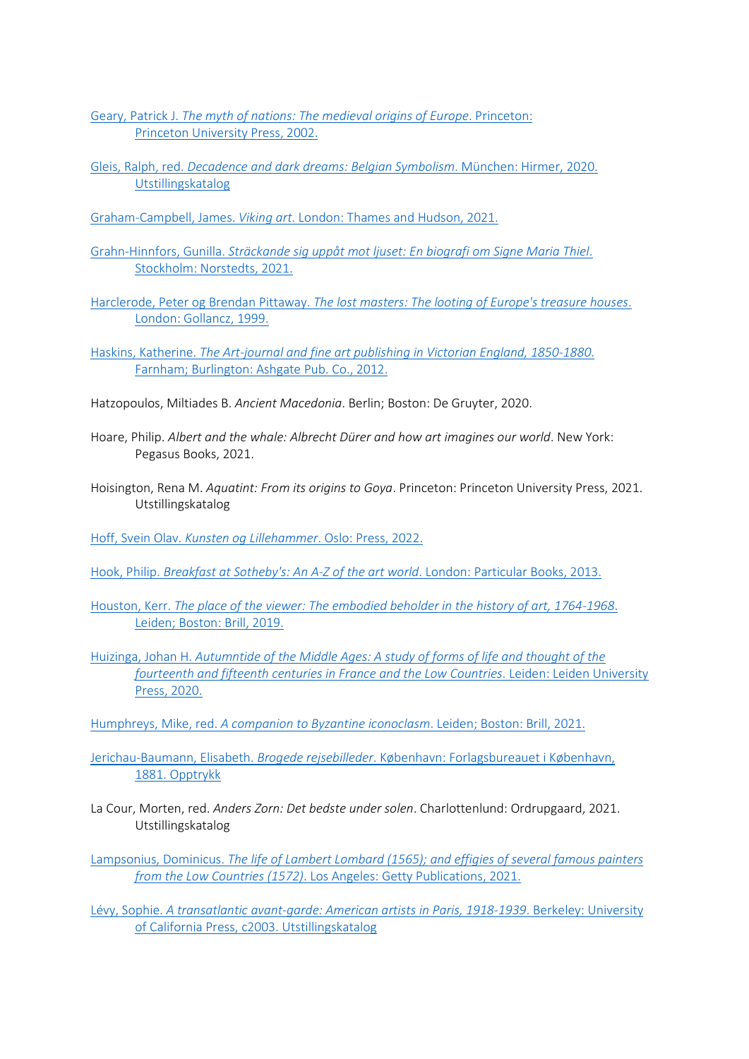Geary, Patrick J. *[The myth of nations: The medieval origins of Europe](https://bibsys-almaprimo.hosted.exlibrisgroup.com/permalink/f/1n8chvd/BIBSYS_ILS71471082900002201)*. Princeton: [Princeton University Press, 2002.](https://bibsys-almaprimo.hosted.exlibrisgroup.com/permalink/f/1n8chvd/BIBSYS_ILS71471082900002201)

- Gleis, Ralph, red. *[Decadence and dark dreams: Belgian Symbolism](https://bibsys-almaprimo.hosted.exlibrisgroup.com/permalink/f/1n8chvd/BIBSYS_ILS71641899490002201)*. München: Hirmer, 2020. [Utstillingskatalog](https://bibsys-almaprimo.hosted.exlibrisgroup.com/permalink/f/1n8chvd/BIBSYS_ILS71641899490002201)
- Graham-Campbell, James. *Viking art*[. London: Thames and Hudson, 2021.](https://bibsys-almaprimo.hosted.exlibrisgroup.com/permalink/f/17b6085/BIBSYS_ILS71640622160002201)
- Grahn-Hinnfors, Gunilla. *[Sträckande sig uppåt mot ljuset: En biografi om Signe Maria Thiel](https://bibsys-almaprimo.hosted.exlibrisgroup.com/permalink/f/1n8chvd/BIBSYS_ILS71640251970002201)*. [Stockholm: Norstedts, 2021.](https://bibsys-almaprimo.hosted.exlibrisgroup.com/permalink/f/1n8chvd/BIBSYS_ILS71640251970002201)
- Harclerode, Peter og Brendan Pittaway. *[The lost masters: The looting of Europe's treasure houses](https://bibsys-almaprimo.hosted.exlibrisgroup.com/permalink/f/1n8chvd/BIBSYS_ILS71640271910002201)*. [London: Gollancz, 1999.](https://bibsys-almaprimo.hosted.exlibrisgroup.com/permalink/f/1n8chvd/BIBSYS_ILS71640271910002201)

Haskins, Katherine. *[The Art-journal and fine art publishing in Victorian England, 1850-1880](https://bibsys-almaprimo.hosted.exlibrisgroup.com/permalink/f/17b6085/BIBSYS_ILS71640822280002201)*. [Farnham; Burlington: Ashgate Pub. Co., 2012.](https://bibsys-almaprimo.hosted.exlibrisgroup.com/permalink/f/17b6085/BIBSYS_ILS71640822280002201)

- Hatzopoulos, Miltiades B. *Ancient Macedonia*. Berlin; Boston: De Gruyter, 2020.
- Hoare, Philip. *Albert and the whale: Albrecht Dürer and how art imagines our world*. New York: Pegasus Books, 2021.
- Hoisington, Rena M. *Aquatint: From its origins to Goya*. Princeton: Princeton University Press, 2021. Utstillingskatalog

Hoff, Svein Olav. *[Kunsten og Lillehammer](https://bibsys-almaprimo.hosted.exlibrisgroup.com/permalink/f/1n8chvd/BIBSYS_ILS71639578630002201)*. Oslo: Press, 2022.

- Hook, Philip. *[Breakfast at Sotheby's: An A-Z of the art world](https://bibsys-almaprimo.hosted.exlibrisgroup.com/permalink/f/1n8chvd/BIBSYS_ILS71468029380002201)*. London: Particular Books, 2013.
- Houston, Kerr. *[The place of the viewer: The embodied beholder in the history of art, 1764-1968](https://bibsys-almaprimo.hosted.exlibrisgroup.com/permalink/f/17b6085/BIBSYS_ILS71639537640002201)*. [Leiden; Boston: Brill, 2019.](https://bibsys-almaprimo.hosted.exlibrisgroup.com/permalink/f/17b6085/BIBSYS_ILS71639537640002201)
- Huizinga, Johan H. *[Autumntide of the Middle Ages: A study of forms of life and thought of the](https://bibsys-almaprimo.hosted.exlibrisgroup.com/permalink/f/1n8chvd/BIBSYS_ILS71641732460002201)  [fourteenth and fifteenth centuries in France and the Low Countries](https://bibsys-almaprimo.hosted.exlibrisgroup.com/permalink/f/1n8chvd/BIBSYS_ILS71641732460002201)*. Leiden: Leiden University [Press, 2020.](https://bibsys-almaprimo.hosted.exlibrisgroup.com/permalink/f/1n8chvd/BIBSYS_ILS71641732460002201)
- Humphreys, Mike, red. *[A companion to Byzantine iconoclasm](https://bibsys-almaprimo.hosted.exlibrisgroup.com/permalink/f/1n8chvd/BIBSYS_ILS71640662360002201)*. Leiden; Boston: Brill, 2021.
- Jerichau-Baumann, Elisabeth. *Brogede rejsebilleder*[. København: Forlagsbureauet i København,](https://bibsys-almaprimo.hosted.exlibrisgroup.com/permalink/f/1n8chvd/BIBSYS_ILS71641599860002201) 1881. [Opptrykk](https://bibsys-almaprimo.hosted.exlibrisgroup.com/permalink/f/1n8chvd/BIBSYS_ILS71641599860002201)
- La Cour, Morten, red. *Anders Zorn: Det bedste under solen*. Charlottenlund: Ordrupgaard, 2021. Utstillingskatalog

Lampsonius, Dominicus. *[The life of Lambert Lombard \(1565\); and effigies of several famous painters](https://bibsys-almaprimo.hosted.exlibrisgroup.com/permalink/f/1n8chvd/BIBSYS_ILS71641918670002201)  from the Low Countries (1572)*[. Los Angeles: Getty Publications, 2021.](https://bibsys-almaprimo.hosted.exlibrisgroup.com/permalink/f/1n8chvd/BIBSYS_ILS71641918670002201)

Lévy, Sophie. *[A transatlantic avant-garde: American artists in Paris, 1918-1939](https://bibsys-almaprimo.hosted.exlibrisgroup.com/permalink/f/1n8chvd/BIBSYS_ILS71477961620002201)*. Berkeley: University [of California Press, c2003. Utstillingskatalog](https://bibsys-almaprimo.hosted.exlibrisgroup.com/permalink/f/1n8chvd/BIBSYS_ILS71477961620002201)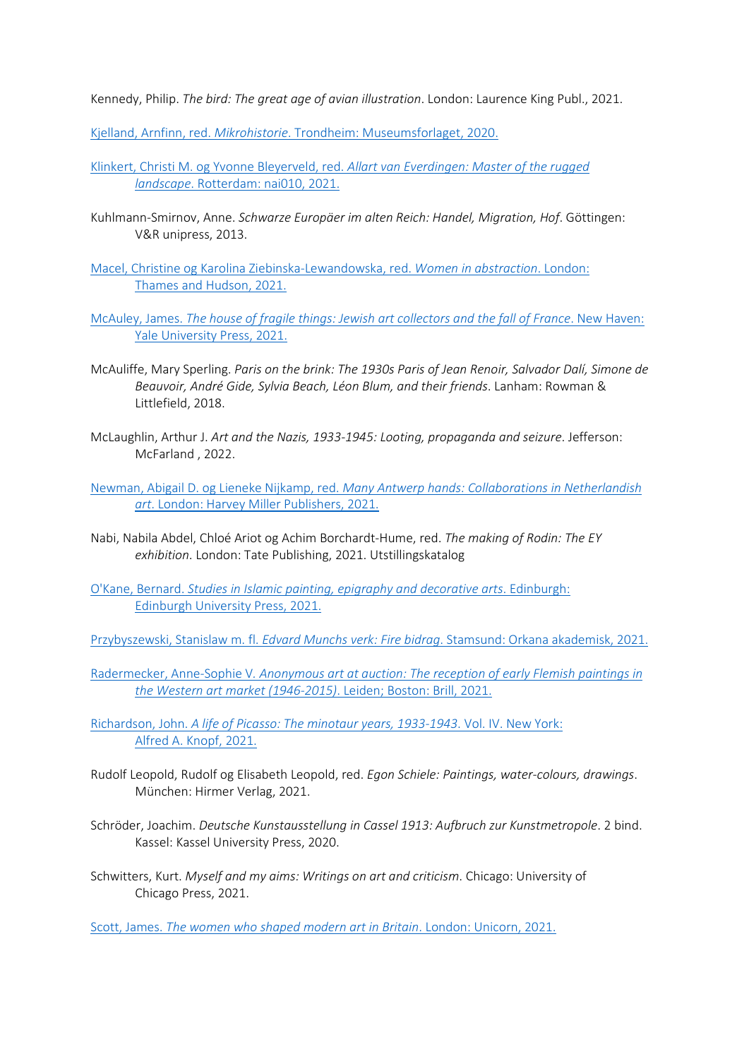Kennedy, Philip. *The bird: The great age of avian illustration*. London: Laurence King Publ., 2021.

Kjelland, Arnfinn, red. *Mikrohistorie*[. Trondheim: Museumsforlaget, 2020.](https://bibsys-almaprimo.hosted.exlibrisgroup.com/permalink/f/1n8chvd/BIBSYS_ILS71587784240002201)

- [Klinkert, Christi M. og Yvonne Bleyerveld, red.](https://bibsys-almaprimo.hosted.exlibrisgroup.com/permalink/f/1n8chvd/BIBSYS_ILS71639332710002201) *Allart van Everdingen: Master of the rugged landscape*[. Rotterdam: nai010, 2021.](https://bibsys-almaprimo.hosted.exlibrisgroup.com/permalink/f/1n8chvd/BIBSYS_ILS71639332710002201)
- Kuhlmann-Smirnov, Anne. *Schwarze Europäer im alten Reich: Handel, Migration, Hof*. Göttingen: V&R unipress, 2013.

[Macel, Christine og Karolina Ziebinska-Lewandowska, red.](https://bibsys-almaprimo.hosted.exlibrisgroup.com/permalink/f/1n8chvd/BIBSYS_ILS71640672050002201) *Women in abstraction*. London: [Thames and Hudson, 2021.](https://bibsys-almaprimo.hosted.exlibrisgroup.com/permalink/f/1n8chvd/BIBSYS_ILS71640672050002201)

- McAuley, James. *[The house of fragile things: Jewish art collectors and the fall of France](https://bibsys-almaprimo.hosted.exlibrisgroup.com/permalink/f/1n8chvd/BIBSYS_ILS71640681980002201)*. New Haven: [Yale University Press, 2021.](https://bibsys-almaprimo.hosted.exlibrisgroup.com/permalink/f/1n8chvd/BIBSYS_ILS71640681980002201)
- McAuliffe, Mary Sperling. *Paris on the brink: The 1930s Paris of Jean Renoir, Salvador Dalí, Simone de Beauvoir, André Gide, Sylvia Beach, Léon Blum, and their friends*. Lanham: Rowman & Littlefield, 2018.
- McLaughlin, Arthur J. *Art and the Nazis, 1933-1945: Looting, propaganda and seizure*. Jefferson: McFarland , 2022.

Newman, Abigail D. og Lieneke Nijkamp, red. *[Many Antwerp hands: Collaborations in Netherlandish](https://bibsys-almaprimo.hosted.exlibrisgroup.com/permalink/f/1n8chvd/BIBSYS_ILS71641928760002201)  art*[. London: Harvey Miller Publishers, 2021.](https://bibsys-almaprimo.hosted.exlibrisgroup.com/permalink/f/1n8chvd/BIBSYS_ILS71641928760002201)

Nabi, Nabila Abdel, Chloé Ariot og Achim Borchardt-Hume, red. *The making of Rodin: The EY exhibition*. London: Tate Publishing, 2021. Utstillingskatalog

O'Kane, Bernard. *[Studies in Islamic painting, epigraphy and decorative arts](https://bibsys-almaprimo.hosted.exlibrisgroup.com/permalink/f/1n8chvd/BIBSYS_ILS71640472350002201)*. Edinburgh: [Edinburgh University Press, 2021.](https://bibsys-almaprimo.hosted.exlibrisgroup.com/permalink/f/1n8chvd/BIBSYS_ILS71640472350002201)

Przybyszewski, Stanislaw m. fl. *Edvard Munchs verk: Fire bidrag*[. Stamsund: Orkana akademisk, 2021.](https://bibsys-almaprimo.hosted.exlibrisgroup.com/permalink/f/17b6085/BIBSYS_ILS71638081210002201)

Radermecker, Anne-Sophie V*[. Anonymous art at auction: The reception of early Flemish paintings in](https://bibsys-almaprimo.hosted.exlibrisgroup.com/permalink/f/1n8chvd/BIBSYS_ILS71639561730002201)  [the Western art market \(1946-2015\)](https://bibsys-almaprimo.hosted.exlibrisgroup.com/permalink/f/1n8chvd/BIBSYS_ILS71639561730002201)*. Leiden; Boston: Brill, 2021.

Richardson, John. *[A life of Picasso: The minotaur years, 1933-1943](https://bibsys-almaprimo.hosted.exlibrisgroup.com/permalink/f/1n8chvd/BIBSYS_ILS71641869470002201)*. Vol. IV. New York: [Alfred A. Knopf, 2021.](https://bibsys-almaprimo.hosted.exlibrisgroup.com/permalink/f/1n8chvd/BIBSYS_ILS71641869470002201)

Rudolf Leopold, Rudolf og Elisabeth Leopold, red. *Egon Schiele: Paintings, water-colours, drawings*. München: Hirmer Verlag, 2021.

Schröder, Joachim. *Deutsche Kunstausstellung in Cassel 1913: Aufbruch zur Kunstmetropole*. 2 bind. Kassel: Kassel University Press, 2020.

Schwitters, Kurt. *Myself and my aims: Writings on art and criticism*. Chicago: University of Chicago Press, 2021.

Scott, James. *[The women who shaped modern art in Britain](https://bibsys-almaprimo.hosted.exlibrisgroup.com/permalink/f/1n8chvd/BIBSYS_ILS71640081150002201)*. London: Unicorn, 2021.